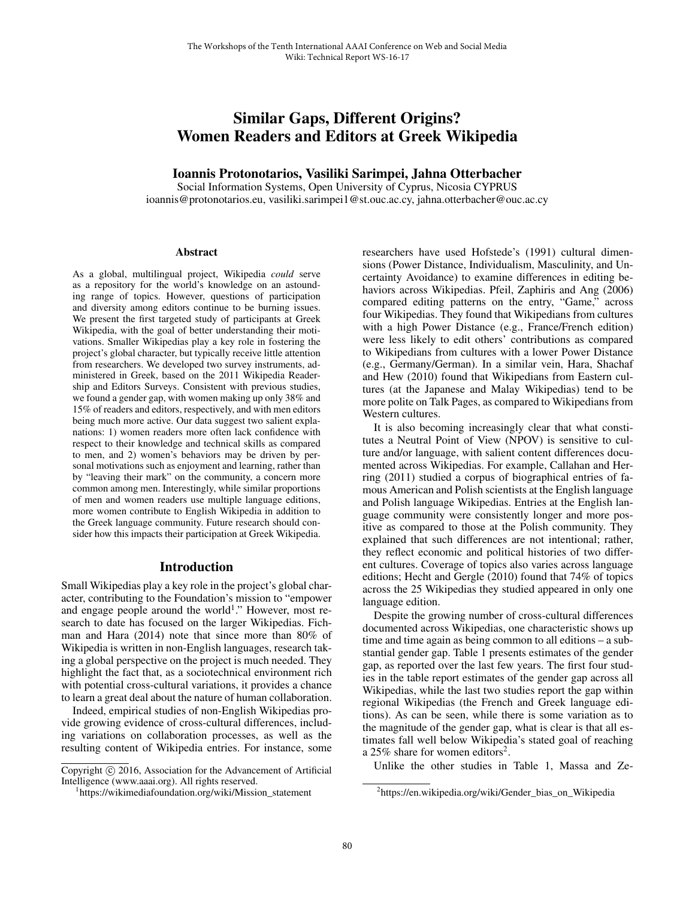# Similar Gaps, Different Origins? Women Readers and Editors at Greek Wikipedia

# Ioannis Protonotarios, Vasiliki Sarimpei, Jahna Otterbacher

Social Information Systems, Open University of Cyprus, Nicosia CYPRUS ioannis@protonotarios.eu, vasiliki.sarimpei1@st.ouc.ac.cy, jahna.otterbacher@ouc.ac.cy

#### Abstract

As a global, multilingual project, Wikipedia *could* serve as a repository for the world's knowledge on an astounding range of topics. However, questions of participation and diversity among editors continue to be burning issues. We present the first targeted study of participants at Greek Wikipedia, with the goal of better understanding their motivations. Smaller Wikipedias play a key role in fostering the project's global character, but typically receive little attention from researchers. We developed two survey instruments, administered in Greek, based on the 2011 Wikipedia Readership and Editors Surveys. Consistent with previous studies, we found a gender gap, with women making up only 38% and 15% of readers and editors, respectively, and with men editors being much more active. Our data suggest two salient explanations: 1) women readers more often lack confidence with respect to their knowledge and technical skills as compared to men, and 2) women's behaviors may be driven by personal motivations such as enjoyment and learning, rather than by "leaving their mark" on the community, a concern more common among men. Interestingly, while similar proportions of men and women readers use multiple language editions, more women contribute to English Wikipedia in addition to the Greek language community. Future research should consider how this impacts their participation at Greek Wikipedia.

## Introduction

Small Wikipedias play a key role in the project's global character, contributing to the Foundation's mission to "empower and engage people around the world<sup>1</sup>." However, most research to date has focused on the larger Wikipedias. Fichman and Hara (2014) note that since more than 80% of Wikipedia is written in non-English languages, research taking a global perspective on the project is much needed. They highlight the fact that, as a sociotechnical environment rich with potential cross-cultural variations, it provides a chance to learn a great deal about the nature of human collaboration.

Indeed, empirical studies of non-English Wikipedias provide growing evidence of cross-cultural differences, including variations on collaboration processes, as well as the resulting content of Wikipedia entries. For instance, some

researchers have used Hofstede's (1991) cultural dimensions (Power Distance, Individualism, Masculinity, and Uncertainty Avoidance) to examine differences in editing behaviors across Wikipedias. Pfeil, Zaphiris and Ang (2006) compared editing patterns on the entry, "Game," across four Wikipedias. They found that Wikipedians from cultures with a high Power Distance (e.g., France/French edition) were less likely to edit others' contributions as compared to Wikipedians from cultures with a lower Power Distance (e.g., Germany/German). In a similar vein, Hara, Shachaf and Hew (2010) found that Wikipedians from Eastern cultures (at the Japanese and Malay Wikipedias) tend to be more polite on Talk Pages, as compared to Wikipedians from Western cultures.

It is also becoming increasingly clear that what constitutes a Neutral Point of View (NPOV) is sensitive to culture and/or language, with salient content differences documented across Wikipedias. For example, Callahan and Herring (2011) studied a corpus of biographical entries of famous American and Polish scientists at the English language and Polish language Wikipedias. Entries at the English language community were consistently longer and more positive as compared to those at the Polish community. They explained that such differences are not intentional; rather, they reflect economic and political histories of two different cultures. Coverage of topics also varies across language editions; Hecht and Gergle (2010) found that 74% of topics across the 25 Wikipedias they studied appeared in only one language edition.

Despite the growing number of cross-cultural differences documented across Wikipedias, one characteristic shows up time and time again as being common to all editions – a substantial gender gap. Table 1 presents estimates of the gender gap, as reported over the last few years. The first four studies in the table report estimates of the gender gap across all Wikipedias, while the last two studies report the gap within regional Wikipedias (the French and Greek language editions). As can be seen, while there is some variation as to the magnitude of the gender gap, what is clear is that all estimates fall well below Wikipedia's stated goal of reaching a 25% share for women editors<sup>2</sup>.

Unlike the other studies in Table 1, Massa and Ze-

Copyright © 2016, Association for the Advancement of Artificial Intelligence (www.aaai.org). All rights reserved.

https://wikimediafoundation.org/wiki/Mission\_statement

<sup>2</sup> https://en.wikipedia.org/wiki/Gender\_bias\_on\_Wikipedia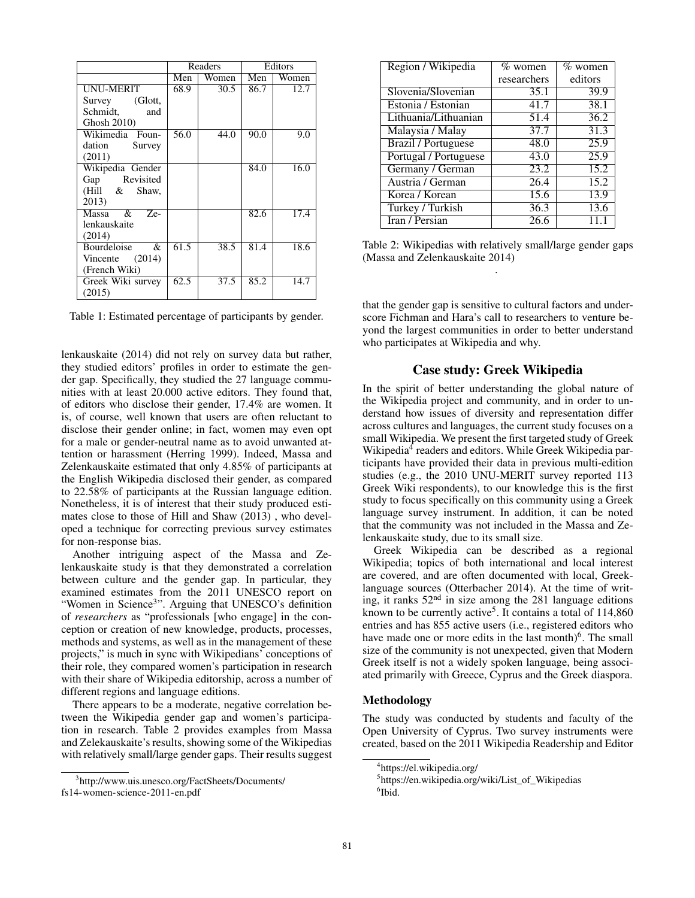|                           | Readers           |       | Editors |       |
|---------------------------|-------------------|-------|---------|-------|
|                           | Men               | Women | Men     | Women |
| <b>UNU-MERIT</b>          | 68.9              | 30.5  | 86.7    | 12.7  |
| Survey (Glott,            |                   |       |         |       |
| Schmidt, and              |                   |       |         |       |
| Ghosh 2010)               |                   |       |         |       |
| Wikimedia Foun-           | $\overline{56.0}$ | 44.0  | 90.0    | 9.0   |
| dation Survey             |                   |       |         |       |
| (2011)                    |                   |       |         |       |
| Wikipedia Gender          |                   |       | 84.0    | 16.0  |
| Gap Revisited             |                   |       |         |       |
| (Hill & Shaw,             |                   |       |         |       |
| 2013)                     |                   |       |         |       |
| Massa $\overline{\&}$ Ze- |                   |       | 82.6    | 17.4  |
| lenkauskaite              |                   |       |         |       |
| (2014)                    |                   |       |         |       |
| <b>Bourdeloise</b><br>&   | 61.5              | 38.5  | 81.4    | 18.6  |
| Vincente $(2014)$         |                   |       |         |       |
| (French Wiki)             |                   |       |         |       |
| Greek Wiki survey         | 62.5              | 37.5  | 85.2    | 14.7  |
| (2015)                    |                   |       |         |       |

Table 1: Estimated percentage of participants by gender.

lenkauskaite (2014) did not rely on survey data but rather, they studied editors' profiles in order to estimate the gender gap. Specifically, they studied the 27 language communities with at least 20.000 active editors. They found that, of editors who disclose their gender, 17.4% are women. It is, of course, well known that users are often reluctant to disclose their gender online; in fact, women may even opt for a male or gender-neutral name as to avoid unwanted attention or harassment (Herring 1999). Indeed, Massa and Zelenkauskaite estimated that only 4.85% of participants at the English Wikipedia disclosed their gender, as compared to 22.58% of participants at the Russian language edition. Nonetheless, it is of interest that their study produced estimates close to those of Hill and Shaw (2013) , who developed a technique for correcting previous survey estimates for non-response bias.

Another intriguing aspect of the Massa and Zelenkauskaite study is that they demonstrated a correlation between culture and the gender gap. In particular, they examined estimates from the 2011 UNESCO report on "Women in Science3". Arguing that UNESCO's definition of *researchers* as "professionals [who engage] in the conception or creation of new knowledge, products, processes, methods and systems, as well as in the management of these projects," is much in sync with Wikipedians' conceptions of their role, they compared women's participation in research with their share of Wikipedia editorship, across a number of different regions and language editions.

There appears to be a moderate, negative correlation between the Wikipedia gender gap and women's participation in research. Table 2 provides examples from Massa and Zelekauskaite's results, showing some of the Wikipedias with relatively small/large gender gaps. Their results suggest

| Region / Wikipedia         | $\%$ women  | $\%$ women        |
|----------------------------|-------------|-------------------|
|                            | researchers | editors           |
| Slovenia/Slovenian         | 35.1        | 39.9              |
| Estonia / Estonian         | 41.7        | 38.1              |
| Lithuania/Lithuanian       | 51.4        | 36.2              |
| Malaysia / Malay           | 37.7        | $\overline{31.3}$ |
| <b>Brazil</b> / Portuguese | 48.0        | 25.9              |
| Portugal / Portuguese      | 43.0        | 25.9              |
| Germany / German           | 23.2        | 15.2              |
| Austria / German           | 26.4        | 15.2              |
| Korea / Korean             | 15.6        | 13.9              |
| Turkey / Turkish           | 36.3        | 13.6              |
| Iran / Persian             | 26.6        | 11.1              |

Table 2: Wikipedias with relatively small/large gender gaps (Massa and Zelenkauskaite 2014) .

that the gender gap is sensitive to cultural factors and underscore Fichman and Hara's call to researchers to venture beyond the largest communities in order to better understand who participates at Wikipedia and why.

# Case study: Greek Wikipedia

In the spirit of better understanding the global nature of the Wikipedia project and community, and in order to understand how issues of diversity and representation differ across cultures and languages, the current study focuses on a small Wikipedia. We present the first targeted study of Greek Wikipedia<sup>4</sup> readers and editors. While Greek Wikipedia participants have provided their data in previous multi-edition studies (e.g., the 2010 UNU-MERIT survey reported 113 Greek Wiki respondents), to our knowledge this is the first study to focus specifically on this community using a Greek language survey instrument. In addition, it can be noted that the community was not included in the Massa and Zelenkauskaite study, due to its small size.

Greek Wikipedia can be described as a regional Wikipedia; topics of both international and local interest are covered, and are often documented with local, Greeklanguage sources (Otterbacher 2014). At the time of writing, it ranks  $52<sup>nd</sup>$  in size among the 281 language editions known to be currently active<sup>5</sup>. It contains a total of  $114,860$ entries and has 855 active users (i.e., registered editors who have made one or more edits in the last month $6^{\circ}$ . The small size of the community is not unexpected, given that Modern Greek itself is not a widely spoken language, being associated primarily with Greece, Cyprus and the Greek diaspora.

## Methodology

The study was conducted by students and faculty of the Open University of Cyprus. Two survey instruments were created, based on the 2011 Wikipedia Readership and Editor

<sup>3</sup> http://www.uis.unesco.org/FactSheets/Documents/ fs14-women-science-2011-en.pdf

<sup>4</sup> https://el.wikipedia.org/

<sup>5</sup> https://en.wikipedia.org/wiki/List\_of\_Wikipedias 6 Ibid.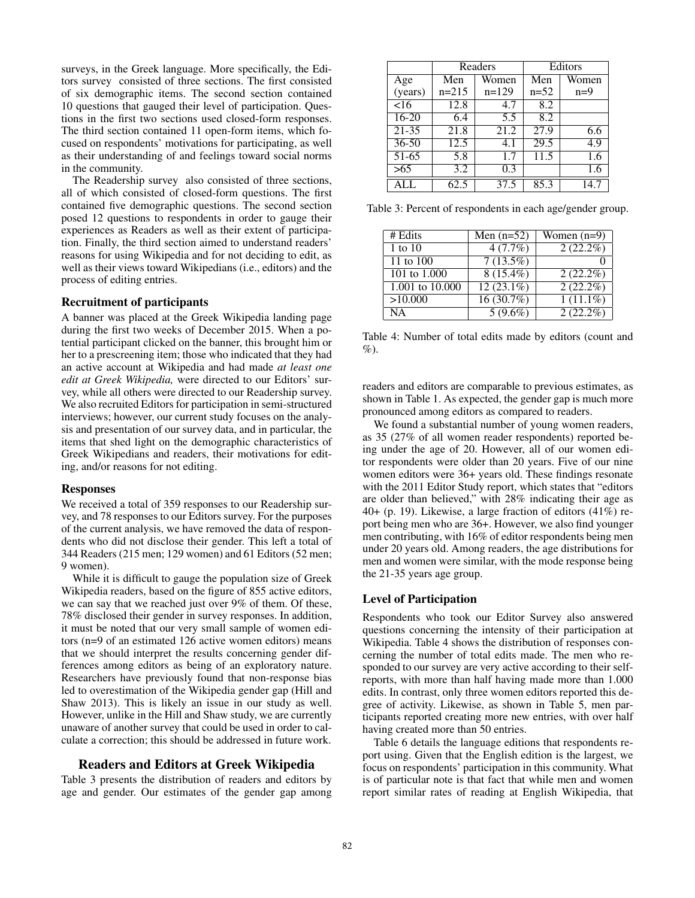surveys, in the Greek language. More specifically, the Editors survey consisted of three sections. The first consisted of six demographic items. The second section contained 10 questions that gauged their level of participation. Questions in the first two sections used closed-form responses. The third section contained 11 open-form items, which focused on respondents' motivations for participating, as well as their understanding of and feelings toward social norms in the community.

The Readership survey also consisted of three sections, all of which consisted of closed-form questions. The first contained five demographic questions. The second section posed 12 questions to respondents in order to gauge their experiences as Readers as well as their extent of participation. Finally, the third section aimed to understand readers' reasons for using Wikipedia and for not deciding to edit, as well as their views toward Wikipedians (i.e., editors) and the process of editing entries.

#### Recruitment of participants

A banner was placed at the Greek Wikipedia landing page during the first two weeks of December 2015. When a potential participant clicked on the banner, this brought him or her to a prescreening item; those who indicated that they had an active account at Wikipedia and had made *at least one edit at Greek Wikipedia,* were directed to our Editors' survey, while all others were directed to our Readership survey. We also recruited Editors for participation in semi-structured interviews; however, our current study focuses on the analysis and presentation of our survey data, and in particular, the items that shed light on the demographic characteristics of Greek Wikipedians and readers, their motivations for editing, and/or reasons for not editing.

#### Responses

We received a total of 359 responses to our Readership survey, and 78 responses to our Editors survey. For the purposes of the current analysis, we have removed the data of respondents who did not disclose their gender. This left a total of 344 Readers (215 men; 129 women) and 61 Editors (52 men; 9 women).

While it is difficult to gauge the population size of Greek Wikipedia readers, based on the figure of 855 active editors, we can say that we reached just over 9% of them. Of these, 78% disclosed their gender in survey responses. In addition, it must be noted that our very small sample of women editors (n=9 of an estimated 126 active women editors) means that we should interpret the results concerning gender differences among editors as being of an exploratory nature. Researchers have previously found that non-response bias led to overestimation of the Wikipedia gender gap (Hill and Shaw 2013). This is likely an issue in our study as well. However, unlike in the Hill and Shaw study, we are currently unaware of another survey that could be used in order to calculate a correction; this should be addressed in future work.

#### Readers and Editors at Greek Wikipedia

Table 3 presents the distribution of readers and editors by age and gender. Our estimates of the gender gap among

|           | Readers |         | Editors |       |
|-----------|---------|---------|---------|-------|
| Age       | Men     | Women   | Men     | Women |
| (years)   | $n=215$ | $n=129$ | $n=52$  | $n=9$ |
| 16        | 12.8    | 4.7     | 8.2     |       |
| $16 - 20$ | 6.4     | 5.5     | 8.2     |       |
| $21 - 35$ | 21.8    | 21.2    | 27.9    | 6.6   |
| $36 - 50$ | 12.5    | 4.1     | 29.5    | 4.9   |
| 51-65     | 5.8     | 1.7     | 11.5    | 1.6   |
| >65       | 3.2     | 0.3     |         | 1.6   |
| ATI       | 62.5    | 37.5    | 85.3    | 147   |

Table 3: Percent of respondents in each age/gender group.

| # Edits                  | Men $(n=52)$ | Women $(n=9)$      |
|--------------------------|--------------|--------------------|
| 1 to $10$                | 4(7.7%)      | $2(22.2\%)$        |
| $\overline{11}$ to $100$ | 7(13.5%)     |                    |
| 101 to 1,000             | $8(15.4\%)$  | $\sqrt{2(22.2\%)}$ |
| 1.001 to $10.000$        | $12(23.1\%)$ | $2(22.2\%)$        |
| >10.000                  | 16(30.7%)    | $1(11.1\%)$        |
| <b>NA</b>                | $5(9.6\%)$   | $2(22.2\%)$        |

Table 4: Number of total edits made by editors (count and  $\%$ ).

readers and editors are comparable to previous estimates, as shown in Table 1. As expected, the gender gap is much more pronounced among editors as compared to readers.

We found a substantial number of young women readers, as 35 (27% of all women reader respondents) reported being under the age of 20. However, all of our women editor respondents were older than 20 years. Five of our nine women editors were 36+ years old. These findings resonate with the 2011 Editor Study report, which states that "editors are older than believed," with 28% indicating their age as 40+ (p. 19). Likewise, a large fraction of editors (41%) report being men who are 36+. However, we also find younger men contributing, with 16% of editor respondents being men under 20 years old. Among readers, the age distributions for men and women were similar, with the mode response being the 21-35 years age group.

## Level of Participation

Respondents who took our Editor Survey also answered questions concerning the intensity of their participation at Wikipedia. Table 4 shows the distribution of responses concerning the number of total edits made. The men who responded to our survey are very active according to their selfreports, with more than half having made more than 1.000 edits. In contrast, only three women editors reported this degree of activity. Likewise, as shown in Table 5, men participants reported creating more new entries, with over half having created more than 50 entries.

Table 6 details the language editions that respondents report using. Given that the English edition is the largest, we focus on respondents' participation in this community. What is of particular note is that fact that while men and women report similar rates of reading at English Wikipedia, that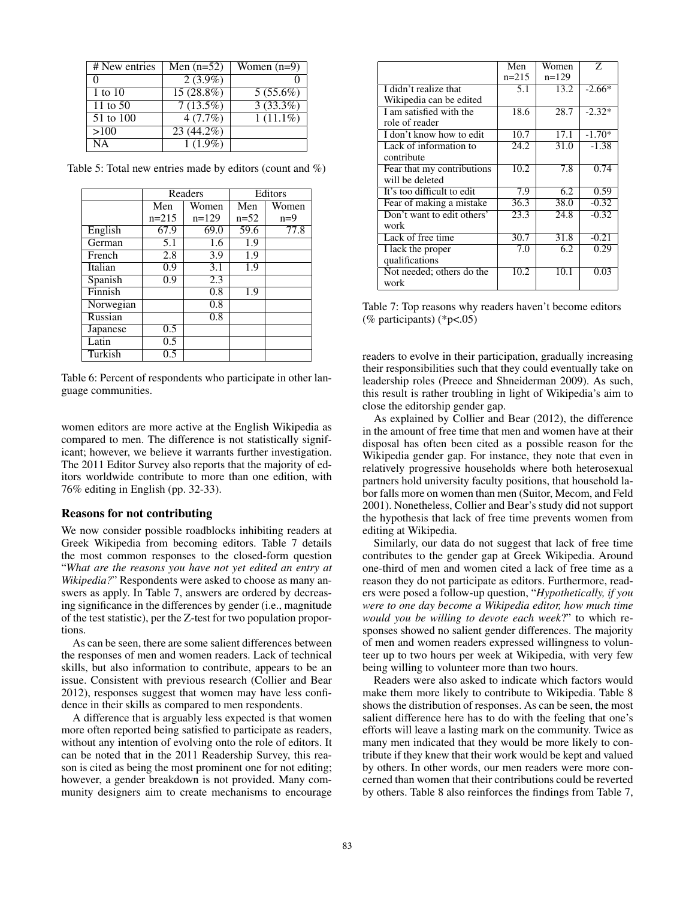| # New entries | Men $(n=52)$ | Women $(n=9)$ |
|---------------|--------------|---------------|
|               | $2(3.9\%)$   |               |
| 1 to $10$     | $15(28.8\%)$ | $5(55.6\%)$   |
| 11 to $50$    | 7(13.5%)     | 3(33.3%)      |
| 51 to 100     | 4(7.7%)      | $1(11.1\%)$   |
| >100          | 23 (44.2%)   |               |
| NΑ            | $1(1.9\%)$   |               |

Table 5: Total new entries made by editors (count and %)

|                              | Readers |         | Editors                 |       |
|------------------------------|---------|---------|-------------------------|-------|
|                              | Men     | Women   | $\overline{\text{Men}}$ | Women |
|                              | $n=215$ | $n=129$ | $n=52$                  | $n=9$ |
| English                      | 67.9    | 69.0    | 59.6                    | 77.8  |
| German                       | 5.1     | 1.6     | 1.9                     |       |
| French                       | 2.8     | 3.9     | 1.9                     |       |
| Italian                      | 0.9     | 3.1     | 1.9                     |       |
| Spanish                      | 0.9     | 2.3     |                         |       |
| $\overline{\text{Finn}}$ ish |         | 0.8     | 1.9                     |       |
| Norwegian                    |         | 0.8     |                         |       |
| Russian                      |         | 0.8     |                         |       |
| Japanese                     | 0.5     |         |                         |       |
| Latin                        | 0.5     |         |                         |       |
| Turkish                      | 0.5     |         |                         |       |

Table 6: Percent of respondents who participate in other language communities.

women editors are more active at the English Wikipedia as compared to men. The difference is not statistically significant; however, we believe it warrants further investigation. The 2011 Editor Survey also reports that the majority of editors worldwide contribute to more than one edition, with 76% editing in English (pp. 32-33).

#### Reasons for not contributing

We now consider possible roadblocks inhibiting readers at Greek Wikipedia from becoming editors. Table 7 details the most common responses to the closed-form question "*What are the reasons you have not yet edited an entry at Wikipedia?*" Respondents were asked to choose as many answers as apply. In Table 7, answers are ordered by decreasing significance in the differences by gender (i.e., magnitude of the test statistic), per the Z-test for two population proportions.

As can be seen, there are some salient differences between the responses of men and women readers. Lack of technical skills, but also information to contribute, appears to be an issue. Consistent with previous research (Collier and Bear 2012), responses suggest that women may have less confidence in their skills as compared to men respondents.

A difference that is arguably less expected is that women more often reported being satisfied to participate as readers, without any intention of evolving onto the role of editors. It can be noted that in the 2011 Readership Survey, this reason is cited as being the most prominent one for not editing; however, a gender breakdown is not provided. Many community designers aim to create mechanisms to encourage

|                            | Men     | Women   | Z        |
|----------------------------|---------|---------|----------|
|                            | $n=215$ | $n=129$ |          |
| I didn't realize that      | 5.1     | 13.2    | $-2.66*$ |
| Wikipedia can be edited    |         |         |          |
| I am satisfied with the    | 18.6    | 28.7    | $-2.32*$ |
| role of reader             |         |         |          |
| I don't know how to edit   | 10.7    | 17.1    | $-1.70*$ |
| Lack of information to     | 24.2    | 31.0    | $-1.38$  |
| contribute                 |         |         |          |
| Fear that my contributions | 10.2    | 7.8     | 0.74     |
| will be deleted            |         |         |          |
| It's too difficult to edit | 7.9     | 6.2     | 0.59     |
| Fear of making a mistake   | 36.3    | 38.0    | $-0.32$  |
| Don't want to edit others' | 23.3    | 24.8    | $-0.32$  |
| work                       |         |         |          |
| Lack of free time          | 30.7    | 31.8    | $-0.21$  |
| I lack the proper          | 7.0     | 6.2     | 0.29     |
| qualifications             |         |         |          |
| Not needed; others do the  | 10.2    | 10.1    | 0.03     |
| work                       |         |         |          |

Table 7: Top reasons why readers haven't become editors (% participants) (\*p<.05)

readers to evolve in their participation, gradually increasing their responsibilities such that they could eventually take on leadership roles (Preece and Shneiderman 2009). As such, this result is rather troubling in light of Wikipedia's aim to close the editorship gender gap.

As explained by Collier and Bear (2012), the difference in the amount of free time that men and women have at their disposal has often been cited as a possible reason for the Wikipedia gender gap. For instance, they note that even in relatively progressive households where both heterosexual partners hold university faculty positions, that household labor falls more on women than men (Suitor, Mecom, and Feld 2001). Nonetheless, Collier and Bear's study did not support the hypothesis that lack of free time prevents women from editing at Wikipedia.

Similarly, our data do not suggest that lack of free time contributes to the gender gap at Greek Wikipedia. Around one-third of men and women cited a lack of free time as a reason they do not participate as editors. Furthermore, readers were posed a follow-up question, "*Hypothetically, if you were to one day become a Wikipedia editor, how much time would you be willing to devote each week*?" to which responses showed no salient gender differences. The majority of men and women readers expressed willingness to volunteer up to two hours per week at Wikipedia, with very few being willing to volunteer more than two hours.

Readers were also asked to indicate which factors would make them more likely to contribute to Wikipedia. Table 8 shows the distribution of responses. As can be seen, the most salient difference here has to do with the feeling that one's efforts will leave a lasting mark on the community. Twice as many men indicated that they would be more likely to contribute if they knew that their work would be kept and valued by others. In other words, our men readers were more concerned than women that their contributions could be reverted by others. Table 8 also reinforces the findings from Table 7,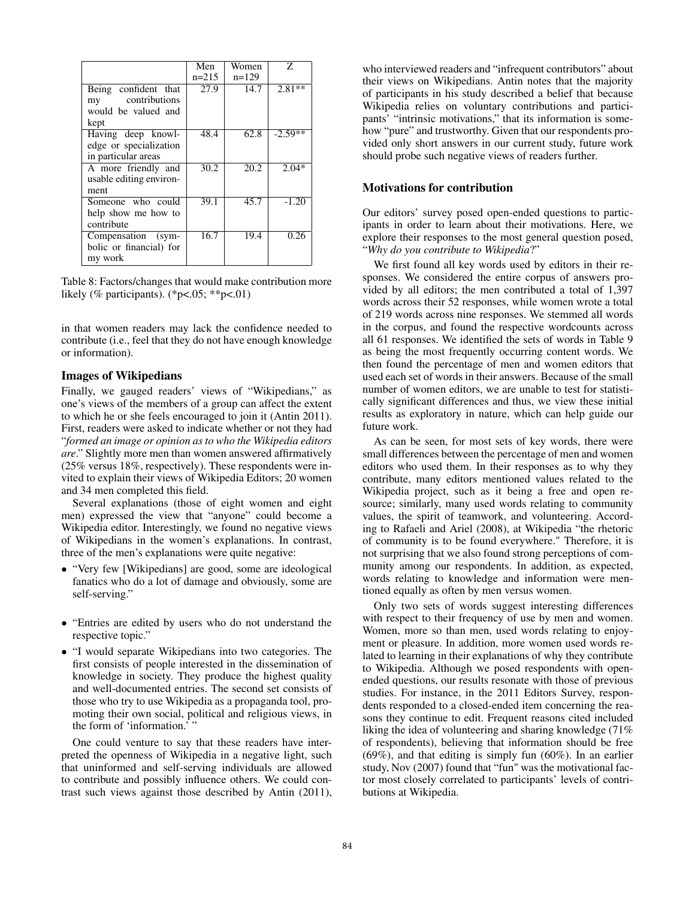|                         | Men     | Women   | 7.        |
|-------------------------|---------|---------|-----------|
|                         | $n=215$ | $n=129$ |           |
| Being confident that    | 27.9    | 14.7    | $2.81**$  |
| contributions<br>my     |         |         |           |
| would be valued and     |         |         |           |
| kept                    |         |         |           |
| Having deep knowl-      | 48.4    | 62.8    | $-2.59**$ |
| edge or specialization  |         |         |           |
| in particular areas     |         |         |           |
| A more friendly and     | 30.2    | 20.2    | $2.04*$   |
| usable editing environ- |         |         |           |
| ment                    |         |         |           |
| Someone who could       | 39.1    | 45.7    | $-1.20$   |
| help show me how to     |         |         |           |
| contribute              |         |         |           |
| Compensation (sym-      | 16.7    | 19.4    | 0.26      |
| bolic or financial) for |         |         |           |
| my work                 |         |         |           |

Table 8: Factors/changes that would make contribution more likely (% participants). (\*p<.05; \*\*p<.01)

in that women readers may lack the confidence needed to contribute (i.e., feel that they do not have enough knowledge or information).

## Images of Wikipedians

Finally, we gauged readers' views of "Wikipedians," as one's views of the members of a group can affect the extent to which he or she feels encouraged to join it (Antin 2011). First, readers were asked to indicate whether or not they had "*formed an image or opinion as to who the Wikipedia editors are*." Slightly more men than women answered affirmatively (25% versus 18%, respectively). These respondents were invited to explain their views of Wikipedia Editors; 20 women and 34 men completed this field.

Several explanations (those of eight women and eight men) expressed the view that "anyone" could become a Wikipedia editor. Interestingly, we found no negative views of Wikipedians in the women's explanations. In contrast, three of the men's explanations were quite negative:

- *•* "Very few [Wikipedians] are good, some are ideological fanatics who do a lot of damage and obviously, some are self-serving."
- *•* "Entries are edited by users who do not understand the respective topic."
- *•* "I would separate Wikipedians into two categories. The first consists of people interested in the dissemination of knowledge in society. They produce the highest quality and well-documented entries. The second set consists of those who try to use Wikipedia as a propaganda tool, promoting their own social, political and religious views, in the form of 'information.'"

One could venture to say that these readers have interpreted the openness of Wikipedia in a negative light, such that uninformed and self-serving individuals are allowed to contribute and possibly influence others. We could contrast such views against those described by Antin (2011), who interviewed readers and "infrequent contributors" about their views on Wikipedians. Antin notes that the majority of participants in his study described a belief that because Wikipedia relies on voluntary contributions and participants' "intrinsic motivations," that its information is somehow "pure" and trustworthy. Given that our respondents provided only short answers in our current study, future work should probe such negative views of readers further.

## Motivations for contribution

Our editors' survey posed open-ended questions to participants in order to learn about their motivations. Here, we explore their responses to the most general question posed, "*Why do you contribute to Wikipedia*?"

We first found all key words used by editors in their responses. We considered the entire corpus of answers provided by all editors; the men contributed a total of 1,397 words across their 52 responses, while women wrote a total of 219 words across nine responses. We stemmed all words in the corpus, and found the respective wordcounts across all 61 responses. We identified the sets of words in Table 9 as being the most frequently occurring content words. We then found the percentage of men and women editors that used each set of words in their answers. Because of the small number of women editors, we are unable to test for statistically significant differences and thus, we view these initial results as exploratory in nature, which can help guide our future work.

As can be seen, for most sets of key words, there were small differences between the percentage of men and women editors who used them. In their responses as to why they contribute, many editors mentioned values related to the Wikipedia project, such as it being a free and open resource; similarly, many used words relating to community values, the spirit of teamwork, and volunteering. According to Rafaeli and Ariel (2008), at Wikipedia "the rhetoric of community is to be found everywhere." Therefore, it is not surprising that we also found strong perceptions of community among our respondents. In addition, as expected, words relating to knowledge and information were mentioned equally as often by men versus women.

Only two sets of words suggest interesting differences with respect to their frequency of use by men and women. Women, more so than men, used words relating to enjoyment or pleasure. In addition, more women used words related to learning in their explanations of why they contribute to Wikipedia. Although we posed respondents with openended questions, our results resonate with those of previous studies. For instance, in the 2011 Editors Survey, respondents responded to a closed-ended item concerning the reasons they continue to edit. Frequent reasons cited included liking the idea of volunteering and sharing knowledge (71% of respondents), believing that information should be free (69%), and that editing is simply fun (60%). In an earlier study, Nov (2007) found that "fun" was the motivational factor most closely correlated to participants' levels of contributions at Wikipedia.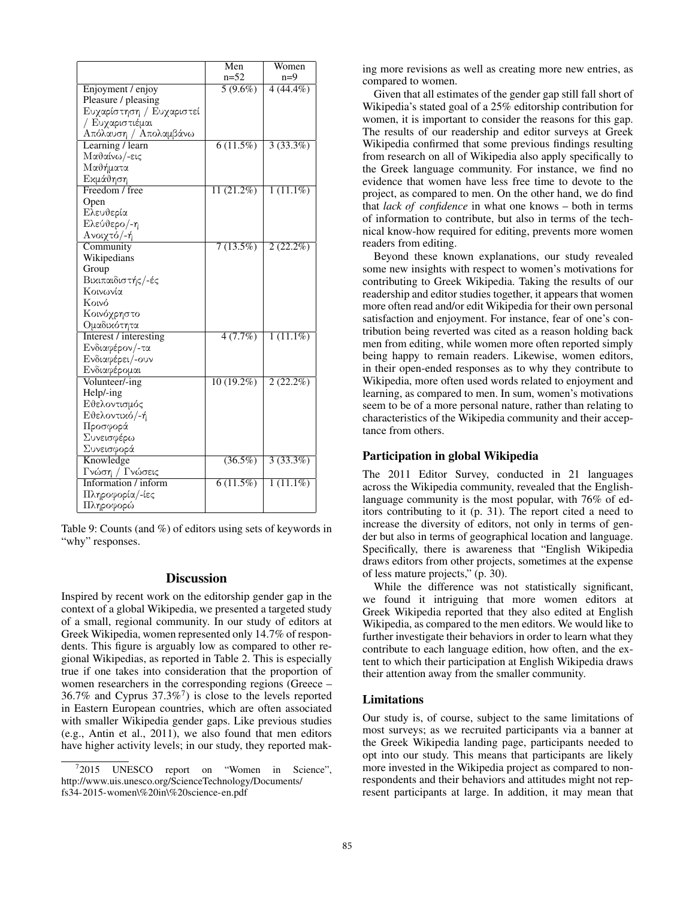|                          | Men                     | Women       |
|--------------------------|-------------------------|-------------|
|                          | $n=52$                  | $n=9$       |
| Enjoyment / enjoy        | $5(9.6\%)$              | $4(44.4\%)$ |
| Pleasure / pleasing      |                         |             |
| Ευχαρίστηση / Ευχαριστεί |                         |             |
| / Ευχαριστιέμαι          |                         |             |
| Απόλαυση / Απολαμβάνω    |                         |             |
| Learning / learn         | $6(11.5\%)$             | 3(33.3%)    |
| Μαθαίνω/-εις             |                         |             |
| Μαθήματα                 |                         |             |
| Εκμάθηση                 |                         |             |
| Freedom / free           | $11(21.2\%)$            | $1(11.1\%)$ |
| Open                     |                         |             |
| Ελευθερία                |                         |             |
| Ελεύθερο/-η              |                         |             |
| Ανοιχτό/-ή               |                         |             |
| Community                | 7(13.5%)                | $2(22.2\%)$ |
| Wikipedians              |                         |             |
| Group                    |                         |             |
| Βικιπαιδιστής/-ές        |                         |             |
| Κοινωνία                 |                         |             |
| Κοινό                    |                         |             |
| Κοινόχρηστο              |                         |             |
| Ομαδικότητα              |                         |             |
| Interest / interesting   | 4(7.7%)                 | $1(11.1\%)$ |
| Ενδιαφέρον/-τα           |                         |             |
| Ενδιαφέρει/-ουν          |                         |             |
| Ενδιαφέρομαι             |                         |             |
| Volunteer/-ing           | $\overline{10(19.2\%)}$ | $2(22.2\%)$ |
| Help/-ing                |                         |             |
| Εθελοντισμός             |                         |             |
| Εθελοντικό/-ή            |                         |             |
| Προσφορά                 |                         |             |
| Συνεισφέρω               |                         |             |
| Συνεισφορά               |                         |             |
| Knowledge                | $(36.5\%)$              | 3(33.3%)    |
| Γνώση / Γνώσεις          |                         |             |
| Information / inform     | 6(11.5%)                | $1(11.1\%)$ |
| Πληροφορία/-ίες          |                         |             |
| Πληροφορώ                |                         |             |

Table 9: Counts (and %) of editors using sets of keywords in "why" responses.

## **Discussion**

Inspired by recent work on the editorship gender gap in the context of a global Wikipedia, we presented a targeted study of a small, regional community. In our study of editors at Greek Wikipedia, women represented only 14.7% of respondents. This figure is arguably low as compared to other regional Wikipedias, as reported in Table 2. This is especially true if one takes into consideration that the proportion of women researchers in the corresponding regions (Greece – 36.7% and Cyprus  $37.3\%$ <sup>7</sup>) is close to the levels reported in Eastern European countries, which are often associated with smaller Wikipedia gender gaps. Like previous studies (e.g., Antin et al., 2011), we also found that men editors have higher activity levels; in our study, they reported mak-

ing more revisions as well as creating more new entries, as compared to women.

Given that all estimates of the gender gap still fall short of Wikipedia's stated goal of a 25% editorship contribution for women, it is important to consider the reasons for this gap. The results of our readership and editor surveys at Greek Wikipedia confirmed that some previous findings resulting from research on all of Wikipedia also apply specifically to the Greek language community. For instance, we find no evidence that women have less free time to devote to the project, as compared to men. On the other hand, we do find that *lack of confidence* in what one knows – both in terms of information to contribute, but also in terms of the technical know-how required for editing, prevents more women readers from editing.

Beyond these known explanations, our study revealed some new insights with respect to women's motivations for contributing to Greek Wikipedia. Taking the results of our readership and editor studies together, it appears that women more often read and/or edit Wikipedia for their own personal satisfaction and enjoyment. For instance, fear of one's contribution being reverted was cited as a reason holding back men from editing, while women more often reported simply being happy to remain readers. Likewise, women editors, in their open-ended responses as to why they contribute to Wikipedia, more often used words related to enjoyment and learning, as compared to men. In sum, women's motivations seem to be of a more personal nature, rather than relating to characteristics of the Wikipedia community and their acceptance from others.

## Participation in global Wikipedia

The 2011 Editor Survey, conducted in 21 languages across the Wikipedia community, revealed that the Englishlanguage community is the most popular, with 76% of editors contributing to it (p. 31). The report cited a need to increase the diversity of editors, not only in terms of gender but also in terms of geographical location and language. Specifically, there is awareness that "English Wikipedia draws editors from other projects, sometimes at the expense of less mature projects," (p. 30).

While the difference was not statistically significant, we found it intriguing that more women editors at Greek Wikipedia reported that they also edited at English Wikipedia, as compared to the men editors. We would like to further investigate their behaviors in order to learn what they contribute to each language edition, how often, and the extent to which their participation at English Wikipedia draws their attention away from the smaller community.

#### Limitations

Our study is, of course, subject to the same limitations of most surveys; as we recruited participants via a banner at the Greek Wikipedia landing page, participants needed to opt into our study. This means that participants are likely more invested in the Wikipedia project as compared to nonrespondents and their behaviors and attitudes might not represent participants at large. In addition, it may mean that

<sup>&</sup>lt;sup>7</sup>2015 UNESCO report on "Women in Science", http://www.uis.unesco.org/ScienceTechnology/Documents/ fs34-2015-women\%20in\%20science-en.pdf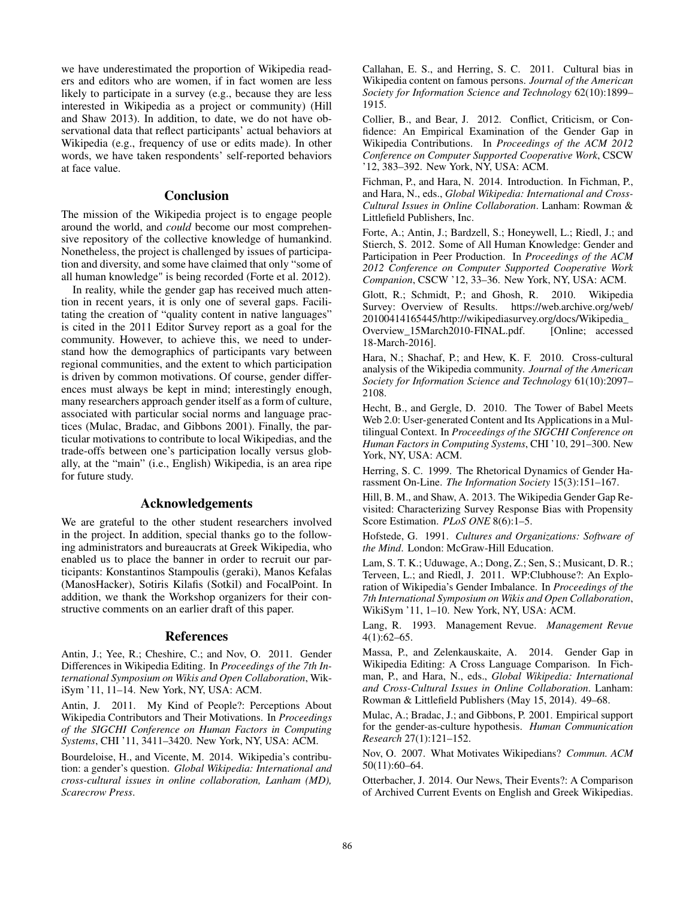we have underestimated the proportion of Wikipedia readers and editors who are women, if in fact women are less likely to participate in a survey (e.g., because they are less interested in Wikipedia as a project or community) (Hill and Shaw 2013). In addition, to date, we do not have observational data that reflect participants' actual behaviors at Wikipedia (e.g., frequency of use or edits made). In other words, we have taken respondents' self-reported behaviors at face value.

# Conclusion

The mission of the Wikipedia project is to engage people around the world, and *could* become our most comprehensive repository of the collective knowledge of humankind. Nonetheless, the project is challenged by issues of participation and diversity, and some have claimed that only "some of all human knowledge" is being recorded (Forte et al. 2012).

In reality, while the gender gap has received much attention in recent years, it is only one of several gaps. Facilitating the creation of "quality content in native languages" is cited in the 2011 Editor Survey report as a goal for the community. However, to achieve this, we need to understand how the demographics of participants vary between regional communities, and the extent to which participation is driven by common motivations. Of course, gender differences must always be kept in mind; interestingly enough, many researchers approach gender itself as a form of culture, associated with particular social norms and language practices (Mulac, Bradac, and Gibbons 2001). Finally, the particular motivations to contribute to local Wikipedias, and the trade-offs between one's participation locally versus globally, at the "main" (i.e., English) Wikipedia, is an area ripe for future study.

## Acknowledgements

We are grateful to the other student researchers involved in the project. In addition, special thanks go to the following administrators and bureaucrats at Greek Wikipedia, who enabled us to place the banner in order to recruit our participants: Konstantinos Stampoulis (geraki), Manos Kefalas (ManosHacker), Sotiris Kilafis (Sotkil) and FocalPoint. In addition, we thank the Workshop organizers for their constructive comments on an earlier draft of this paper.

## References

Antin, J.; Yee, R.; Cheshire, C.; and Nov, O. 2011. Gender Differences in Wikipedia Editing. In *Proceedings of the 7th International Symposium on Wikis and Open Collaboration*, WikiSym '11, 11–14. New York, NY, USA: ACM.

Antin, J. 2011. My Kind of People?: Perceptions About Wikipedia Contributors and Their Motivations. In *Proceedings of the SIGCHI Conference on Human Factors in Computing Systems*, CHI '11, 3411–3420. New York, NY, USA: ACM.

Bourdeloise, H., and Vicente, M. 2014. Wikipedia's contribution: a gender's question. *Global Wikipedia: International and cross-cultural issues in online collaboration, Lanham (MD), Scarecrow Press*.

Callahan, E. S., and Herring, S. C. 2011. Cultural bias in Wikipedia content on famous persons. *Journal of the American Society for Information Science and Technology* 62(10):1899– 1915.

Collier, B., and Bear, J. 2012. Conflict, Criticism, or Confidence: An Empirical Examination of the Gender Gap in Wikipedia Contributions. In *Proceedings of the ACM 2012 Conference on Computer Supported Cooperative Work*, CSCW '12, 383–392. New York, NY, USA: ACM.

Fichman, P., and Hara, N. 2014. Introduction. In Fichman, P., and Hara, N., eds., *Global Wikipedia: International and Cross-Cultural Issues in Online Collaboration*. Lanham: Rowman & Littlefield Publishers, Inc.

Forte, A.; Antin, J.; Bardzell, S.; Honeywell, L.; Riedl, J.; and Stierch, S. 2012. Some of All Human Knowledge: Gender and Participation in Peer Production. In *Proceedings of the ACM 2012 Conference on Computer Supported Cooperative Work Companion*, CSCW '12, 33–36. New York, NY, USA: ACM.

Glott, R.; Schmidt, P.; and Ghosh, R. 2010. Wikipedia Survey: Overview of Results. https://web.archive.org/web/ 20100414165445/http://wikipediasurvey.org/docs/Wikipedia\_ Overview\_15March2010-FINAL.pdf. 18-March-2016].

Hara, N.; Shachaf, P.; and Hew, K. F. 2010. Cross-cultural analysis of the Wikipedia community. *Journal of the American Society for Information Science and Technology* 61(10):2097– 2108.

Hecht, B., and Gergle, D. 2010. The Tower of Babel Meets Web 2.0: User-generated Content and Its Applications in a Multilingual Context. In *Proceedings of the SIGCHI Conference on Human Factors in Computing Systems*, CHI '10, 291–300. New York, NY, USA: ACM.

Herring, S. C. 1999. The Rhetorical Dynamics of Gender Harassment On-Line. *The Information Society* 15(3):151–167.

Hill, B. M., and Shaw, A. 2013. The Wikipedia Gender Gap Revisited: Characterizing Survey Response Bias with Propensity Score Estimation. *PLoS ONE* 8(6):1–5.

Hofstede, G. 1991. *Cultures and Organizations: Software of the Mind*. London: McGraw-Hill Education.

Lam, S. T. K.; Uduwage, A.; Dong, Z.; Sen, S.; Musicant, D. R.; Terveen, L.; and Riedl, J. 2011. WP:Clubhouse?: An Exploration of Wikipedia's Gender Imbalance. In *Proceedings of the 7th International Symposium on Wikis and Open Collaboration*, WikiSym '11, 1–10. New York, NY, USA: ACM.

Lang, R. 1993. Management Revue. *Management Revue* 4(1):62–65.

Massa, P., and Zelenkauskaite, A. 2014. Gender Gap in Wikipedia Editing: A Cross Language Comparison. In Fichman, P., and Hara, N., eds., *Global Wikipedia: International and Cross-Cultural Issues in Online Collaboration*. Lanham: Rowman & Littlefield Publishers (May 15, 2014). 49–68.

Mulac, A.; Bradac, J.; and Gibbons, P. 2001. Empirical support for the gender-as-culture hypothesis. *Human Communication Research* 27(1):121–152.

Nov, O. 2007. What Motivates Wikipedians? *Commun. ACM* 50(11):60–64.

Otterbacher, J. 2014. Our News, Their Events?: A Comparison of Archived Current Events on English and Greek Wikipedias.